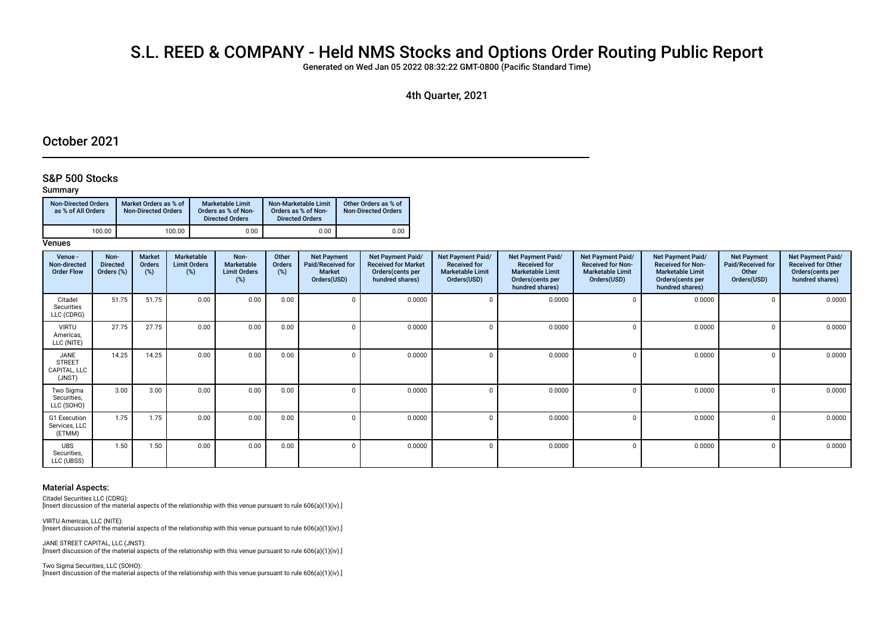# S.L. REED & COMPANY - Held NMS Stocks and Options Order Routing Public Report

Generated on Wed Jan 05 2022 08:32:22 GMT-0800 (Pacifc Standard Time)

## 4th Quarter, 2021

# October 2021

## S&P 500 Stocks

#### Summary

| <b>Non-Directed Orders</b><br>as % of All Orders | Market Orders as % of<br><b>Non-Directed Orders</b> | <b>Marketable Limit</b><br>Orders as % of Non-<br><b>Directed Orders</b> | Non-Marketable Limit<br>Orders as % of Non-<br><b>Directed Orders</b> | Other Orders as % of<br><b>Non-Directed Orders</b> |
|--------------------------------------------------|-----------------------------------------------------|--------------------------------------------------------------------------|-----------------------------------------------------------------------|----------------------------------------------------|
| 100.00                                           | 100.00                                              | 0.00                                                                     | 0.00                                                                  | 0.00                                               |

**Venues** 

| Venue -<br>Non-directed<br><b>Order Flow</b>    | Non-<br><b>Directed</b><br>Orders (%) | Market<br>Orders<br>$(\%)$ | Marketable<br><b>Limit Orders</b><br>$(\%)$ | Non-<br><b>Marketable</b><br><b>Limit Orders</b><br>(%) | Other<br>Orders<br>(%) | <b>Net Payment</b><br>Paid/Received for<br><b>Market</b><br>Orders(USD) | <b>Net Payment Paid/</b><br><b>Received for Market</b><br>Orders(cents per<br>hundred shares) | <b>Net Payment Paid/</b><br><b>Received for</b><br><b>Marketable Limit</b><br>Orders(USD) | Net Payment Paid/<br><b>Received for</b><br><b>Marketable Limit</b><br>Orders(cents per<br>hundred shares) | Net Payment Paid/<br><b>Received for Non-</b><br><b>Marketable Limit</b><br>Orders(USD) | <b>Net Payment Paid/</b><br><b>Received for Non-</b><br><b>Marketable Limit</b><br>Orders (cents per<br>hundred shares) | <b>Net Payment</b><br>Paid/Received for<br>Other<br>Orders(USD) | Net Payment Paid/<br><b>Received for Other</b><br>Orders(cents per<br>hundred shares) |
|-------------------------------------------------|---------------------------------------|----------------------------|---------------------------------------------|---------------------------------------------------------|------------------------|-------------------------------------------------------------------------|-----------------------------------------------------------------------------------------------|-------------------------------------------------------------------------------------------|------------------------------------------------------------------------------------------------------------|-----------------------------------------------------------------------------------------|-------------------------------------------------------------------------------------------------------------------------|-----------------------------------------------------------------|---------------------------------------------------------------------------------------|
| Citadel<br>Securities<br>LLC (CDRG)             | 51.75                                 | 51.75                      | 0.00                                        | 0.00                                                    | 0.00                   |                                                                         | 0.0000                                                                                        |                                                                                           | 0.0000                                                                                                     |                                                                                         | 0.0000                                                                                                                  |                                                                 | 0.0000                                                                                |
| <b>VIRTU</b><br>Americas,<br>LLC (NITE)         | 27.75                                 | 27.75                      | 0.00                                        | 0.00                                                    | 0.00                   |                                                                         | 0.0000                                                                                        |                                                                                           | 0.0000                                                                                                     |                                                                                         | 0.0000                                                                                                                  |                                                                 | 0.0000                                                                                |
| JANE<br><b>STREET</b><br>CAPITAL, LLC<br>(JNST) | 14.25                                 | 14.25                      | 0.00                                        | 0.00                                                    | 0.00                   |                                                                         | 0.0000                                                                                        | n                                                                                         | 0.0000                                                                                                     | n                                                                                       | 0.0000                                                                                                                  |                                                                 | 0.0000                                                                                |
| Two Sigma<br>Securities,<br>LLC (SOHO)          | 3.00                                  | 3.00                       | 0.00                                        | 0.00                                                    | 0.00                   |                                                                         | 0.0000                                                                                        |                                                                                           | 0.0000                                                                                                     |                                                                                         | 0.0000                                                                                                                  |                                                                 | 0.0000                                                                                |
| G1 Execution<br>Services, LLC<br>(ETMM)         | 1.75                                  | 1.75                       | 0.00                                        | 0.00                                                    | 0.00                   |                                                                         | 0.0000                                                                                        |                                                                                           | 0.0000                                                                                                     | <sup>n</sup>                                                                            | 0.0000                                                                                                                  |                                                                 | 0.0000                                                                                |
| <b>UBS</b><br>Securities,<br>LLC (UBSS)         | 1.50                                  | 1.50                       | 0.00                                        | 0.00                                                    | 0.00                   | $\Omega$                                                                | 0.0000                                                                                        |                                                                                           | 0.0000                                                                                                     | $\Omega$                                                                                | 0.0000                                                                                                                  |                                                                 | 0.0000                                                                                |

#### Material Aspects:

Citadel Securities LLC (CDRG):

[Insert discussion of the material aspects of the relationship with this venue pursuant to rule 606(a)(1)(iv).]

VIRTU Americas, LLC (NITE): [Insert discussion of the material aspects of the relationship with this venue pursuant to rule 606(a)(1)(iv).]

JANE STREET CAPITAL, LLC (JNST): [Insert discussion of the material aspects of the relationship with this venue pursuant to rule 606(a)(1)(iv).]

Two Sigma Securities, LLC (SOHO): [Insert discussion of the material aspects of the relationship with this venue pursuant to rule 606(a)(1)(iv).]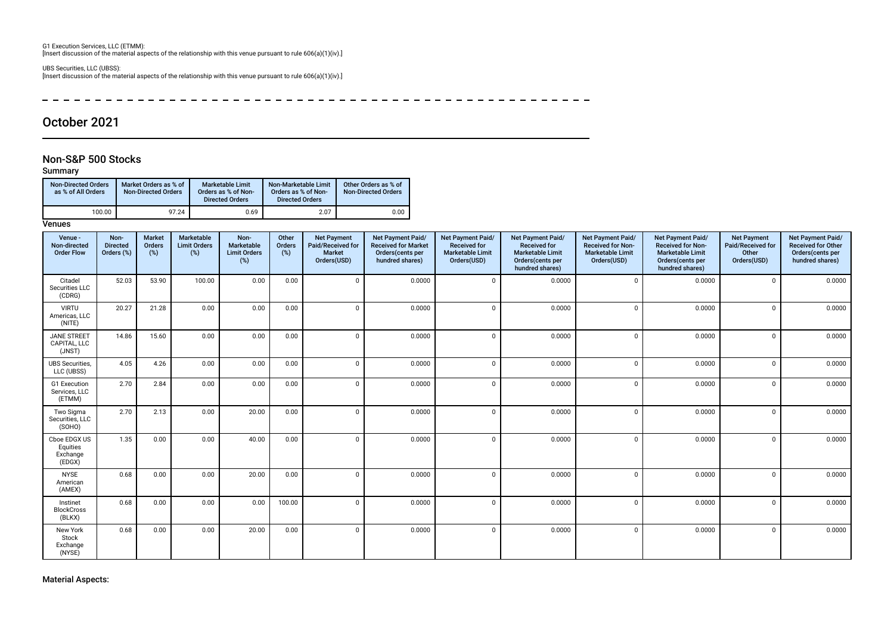G1 Execution Services, LLC (ETMM): [Insert discussion of the material aspects of the relationship with this venue pursuant to rule 606(a)(1)(iv).]

UBS Securities, LLC (UBSS): [Insert discussion of the material aspects of the relationship with this venue pursuant to rule 606(a)(1)(iv).]

 $\overline{a}$ ------------------------- $- - - - \frac{1}{2}$  $- - - - - - - \equiv$  $\overline{\phantom{0}}$ 

# October 2021

## Non-S&P 500 Stocks

## Summary

| <b>Non-Directed Orders</b><br>as % of All Orders | Market Orders as % of<br><b>Non-Directed Orders</b> | <b>Marketable Limit</b><br>Orders as % of Non-<br><b>Directed Orders</b> | Non-Marketable Limit<br>Orders as % of Non-<br><b>Directed Orders</b> | Other Orders as % of<br><b>Non-Directed Orders</b> |
|--------------------------------------------------|-----------------------------------------------------|--------------------------------------------------------------------------|-----------------------------------------------------------------------|----------------------------------------------------|
| 100.00                                           | 97.24                                               | 0.69                                                                     | 2.07                                                                  | 0.00                                               |

### **Venues**

| Venue -<br>Non-directed<br><b>Order Flow</b>   | Non-<br><b>Directed</b><br>Orders (%) | Market<br>Orders<br>(%) | Marketable<br><b>Limit Orders</b><br>(%) | Non-<br>Marketable<br><b>Limit Orders</b><br>(%) | Other<br>Orders<br>$(\%)$ | <b>Net Payment</b><br>Paid/Received for<br><b>Market</b><br>Orders(USD) | Net Payment Paid/<br><b>Received for Market</b><br>Orders(cents per<br>hundred shares) | Net Payment Paid/<br><b>Received for</b><br><b>Marketable Limit</b><br>Orders(USD) | Net Payment Paid/<br><b>Received for</b><br><b>Marketable Limit</b><br>Orders(cents per<br>hundred shares) | Net Payment Paid/<br><b>Received for Non-</b><br><b>Marketable Limit</b><br>Orders(USD) | Net Payment Paid/<br><b>Received for Non-</b><br><b>Marketable Limit</b><br>Orders(cents per<br>hundred shares) | <b>Net Payment</b><br>Paid/Received for<br>Other<br>Orders(USD) | Net Payment Paid/<br><b>Received for Other</b><br>Orders(cents per<br>hundred shares) |
|------------------------------------------------|---------------------------------------|-------------------------|------------------------------------------|--------------------------------------------------|---------------------------|-------------------------------------------------------------------------|----------------------------------------------------------------------------------------|------------------------------------------------------------------------------------|------------------------------------------------------------------------------------------------------------|-----------------------------------------------------------------------------------------|-----------------------------------------------------------------------------------------------------------------|-----------------------------------------------------------------|---------------------------------------------------------------------------------------|
| Citadel<br>Securities LLC<br>(CDRG)            | 52.03                                 | 53.90                   | 100.00                                   | 0.00                                             | 0.00                      | $\Omega$                                                                | 0.0000                                                                                 | $\Omega$                                                                           | 0.0000                                                                                                     | $\mathbf 0$                                                                             | 0.0000                                                                                                          | $\Omega$                                                        | 0.0000                                                                                |
| <b>VIRTU</b><br>Americas, LLC<br>(NITE)        | 20.27                                 | 21.28                   | 0.00                                     | 0.00                                             | 0.00                      | $\Omega$                                                                | 0.0000                                                                                 | $\Omega$                                                                           | 0.0000                                                                                                     | $\Omega$                                                                                | 0.0000                                                                                                          | $\Omega$                                                        | 0.0000                                                                                |
| <b>JANE STREET</b><br>CAPITAL, LLC<br>(JNST)   | 14.86                                 | 15.60                   | 0.00                                     | 0.00                                             | 0.00                      | $\Omega$                                                                | 0.0000                                                                                 | $\Omega$                                                                           | 0.0000                                                                                                     | $\Omega$                                                                                | 0.0000                                                                                                          | $\Omega$                                                        | 0.0000                                                                                |
| <b>UBS</b> Securities,<br>LLC (UBSS)           | 4.05                                  | 4.26                    | 0.00                                     | 0.00                                             | 0.00                      | $\cap$                                                                  | 0.0000                                                                                 | $\epsilon$                                                                         | 0.0000                                                                                                     | $\Omega$                                                                                | 0.0000                                                                                                          | $\Omega$                                                        | 0.0000                                                                                |
| G1 Execution<br>Services, LLC<br>(ETMM)        | 2.70                                  | 2.84                    | 0.00                                     | 0.00                                             | 0.00                      | $\Omega$                                                                | 0.0000                                                                                 | $\Omega$                                                                           | 0.0000                                                                                                     | $\Omega$                                                                                | 0.0000                                                                                                          | $\Omega$                                                        | 0.0000                                                                                |
| Two Sigma<br>Securities, LLC<br>(SOHO)         | 2.70                                  | 2.13                    | 0.00                                     | 20.00                                            | 0.00                      | $\Omega$                                                                | 0.0000                                                                                 | $\mathfrak{c}$                                                                     | 0.0000                                                                                                     | $\Omega$                                                                                | 0.0000                                                                                                          | $\Omega$                                                        | 0.0000                                                                                |
| Cboe EDGX US<br>Equities<br>Exchange<br>(EDGX) | 1.35                                  | 0.00                    | 0.00                                     | 40.00                                            | 0.00                      | $\Omega$                                                                | 0.0000                                                                                 | $\Omega$                                                                           | 0.0000                                                                                                     | $\Omega$                                                                                | 0.0000                                                                                                          | $\Omega$                                                        | 0.0000                                                                                |
| <b>NYSE</b><br>American<br>(AMEX)              | 0.68                                  | 0.00                    | 0.00                                     | 20.00                                            | 0.00                      | $\Omega$                                                                | 0.0000                                                                                 | $\Omega$                                                                           | 0.0000                                                                                                     | $\Omega$                                                                                | 0.0000                                                                                                          | $\Omega$                                                        | 0.0000                                                                                |
| Instinet<br><b>BlockCross</b><br>(BLKX)        | 0.68                                  | 0.00                    | 0.00                                     | 0.00                                             | 100.00                    | $\Omega$                                                                | 0.0000                                                                                 | $\Omega$                                                                           | 0.0000                                                                                                     | $\Omega$                                                                                | 0.0000                                                                                                          | $\Omega$                                                        | 0.0000                                                                                |
| New York<br>Stock<br>Exchange<br>(NYSE)        | 0.68                                  | 0.00                    | 0.00                                     | 20.00                                            | 0.00                      | $\Omega$                                                                | 0.0000                                                                                 | $\Omega$                                                                           | 0.0000                                                                                                     | $\Omega$                                                                                | 0.0000                                                                                                          | $\Omega$                                                        | 0.0000                                                                                |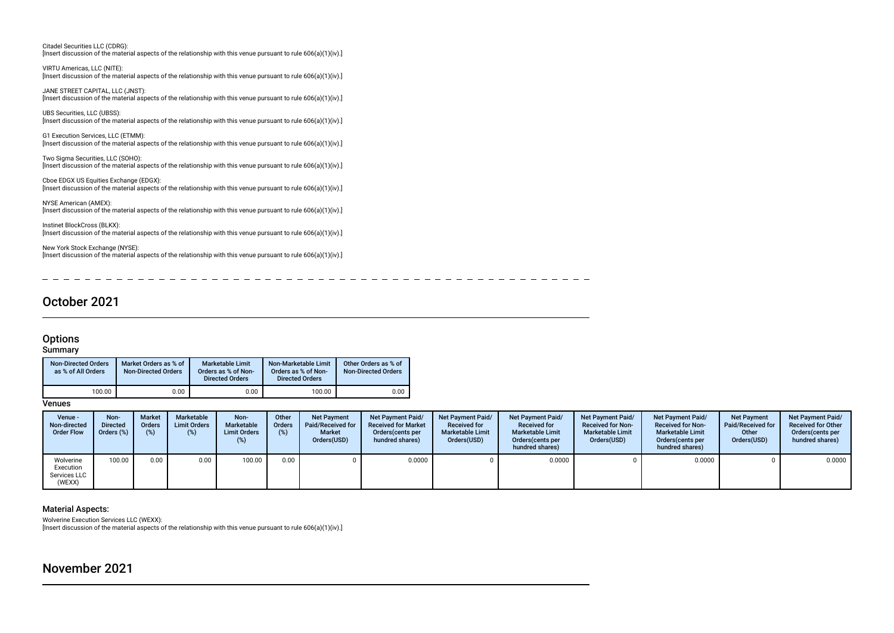Citadel Securities LLC (CDRG): [Insert discussion of the material aspects of the relationship with this venue pursuant to rule 606(a)(1)(iv).]

VIRTU Americas, LLC (NITE): [Insert discussion of the material aspects of the relationship with this venue pursuant to rule 606(a)(1)(iv).]

JANE STREET CAPITAL, LLC (JNST): [Insert discussion of the material aspects of the relationship with this venue pursuant to rule 606(a)(1)(iv).]

UBS Securities, LLC (UBSS): [Insert discussion of the material aspects of the relationship with this venue pursuant to rule 606(a)(1)(iv).]

G1 Execution Services, LLC (ETMM): [Insert discussion of the material aspects of the relationship with this venue pursuant to rule 606(a)(1)(iv).]

Two Sigma Securities, LLC (SOHO): [Insert discussion of the material aspects of the relationship with this venue pursuant to rule 606(a)(1)(iv).]

Cboe EDGX US Equities Exchange (EDGX): [Insert discussion of the material aspects of the relationship with this venue pursuant to rule 606(a)(1)(iv).]

NYSE American (AMEX): [Insert discussion of the material aspects of the relationship with this venue pursuant to rule 606(a)(1)(iv).]

Instinet BlockCross (BLKX): [Insert discussion of the material aspects of the relationship with this venue pursuant to rule 606(a)(1)(iv).]

New York Stock Exchange (NYSE): [Insert discussion of the material aspects of the relationship with this venue pursuant to rule 606(a)(1)(iv).]

------ $\sim$   $-$ ----

# October 2021

## **Options**

## **Summary**

| <b>Non-Directed Orders</b><br>as % of All Orders | Market Orders as % of<br>Non-Directed Orders | <b>Marketable Limit</b><br>Orders as % of Non-<br><b>Directed Orders</b> | Non-Marketable Limit<br>Orders as % of Non-<br><b>Directed Orders</b> | Other Orders as % of<br><b>Non-Directed Orders</b> |
|--------------------------------------------------|----------------------------------------------|--------------------------------------------------------------------------|-----------------------------------------------------------------------|----------------------------------------------------|
| 100.00                                           | 0.00                                         | 0.00                                                                     | 100.00                                                                | 0.00                                               |

**Venues** 

| Venue -<br>Non-directed<br><b>Order Flow</b>     | Non-<br><b>Directed</b><br>Orders (%) | <b>Market</b><br>Orders<br>(%) | Marketable<br><b>Limit Orders</b><br>(%) | Non-<br>Marketable<br><b>Limit Orders</b><br>(%) | Other<br>Orders<br>(%) | <b>Net Payment</b><br>Paid/Received for<br>Market<br>Orders(USD) | <b>Net Payment Paid/</b><br><b>Received for Market</b><br>Orders (cents per<br>hundred shares) | <b>Net Payment Paid/</b><br><b>Received for</b><br><b>Marketable Limit</b><br>Orders(USD) | Net Payment Paid/<br><b>Received for</b><br><b>Marketable Limit</b><br>Orders (cents per<br>hundred shares) | <b>Net Payment Paid/</b><br><b>Received for Non-</b><br><b>Marketable Limit</b><br>Orders(USD) | <b>Net Payment Paid/</b><br><b>Received for Non-</b><br><b>Marketable Limit</b><br>Orders (cents per<br>hundred shares) | <b>Net Payment</b><br>Paid/Received for<br>Other<br>Orders(USD) | Net Payment Paid/<br><b>Received for Other</b><br>Orders (cents per<br>hundred shares) |
|--------------------------------------------------|---------------------------------------|--------------------------------|------------------------------------------|--------------------------------------------------|------------------------|------------------------------------------------------------------|------------------------------------------------------------------------------------------------|-------------------------------------------------------------------------------------------|-------------------------------------------------------------------------------------------------------------|------------------------------------------------------------------------------------------------|-------------------------------------------------------------------------------------------------------------------------|-----------------------------------------------------------------|----------------------------------------------------------------------------------------|
| Wolverine<br>Execution<br>Services LLC<br>(WEXX) | 100.00                                | 0.00                           | 0.00                                     | 100.00                                           | 0.00                   |                                                                  | 0.0000                                                                                         |                                                                                           | 0.0000                                                                                                      |                                                                                                | 0.0000                                                                                                                  |                                                                 | 0.0000                                                                                 |

### Material Aspects:

Wolverine Execution Services LLC (WEXX): [Insert discussion of the material aspects of the relationship with this venue pursuant to rule 606(a)(1)(iv).]

# November 2021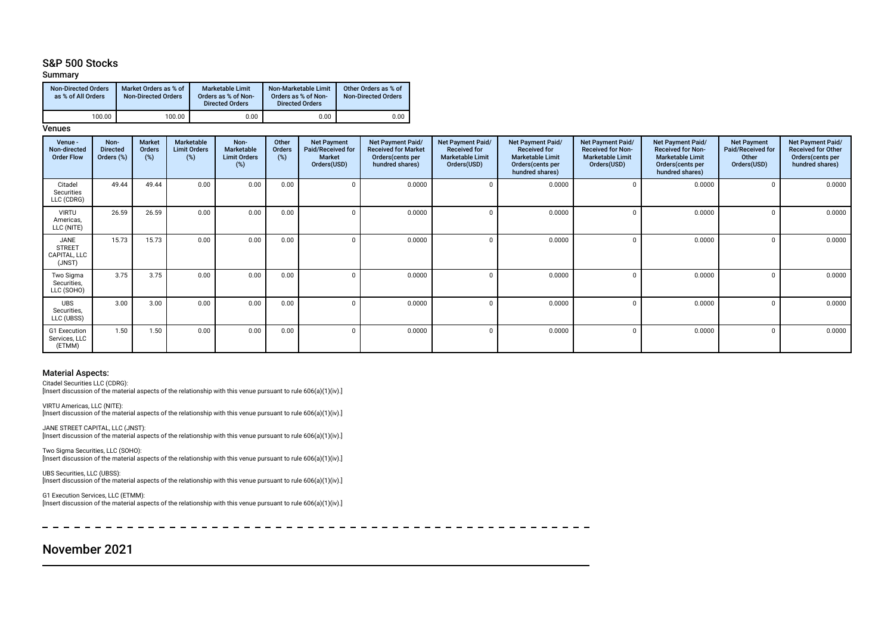## S&P 500 Stocks

### Summary

| <b>Non-Directed Orders</b><br>as % of All Orders | Market Orders as % of<br><b>Non-Directed Orders</b> | <b>Marketable Limit</b><br>Orders as % of Non-<br><b>Directed Orders</b> | Non-Marketable Limit<br>Orders as % of Non-<br><b>Directed Orders</b> | Other Orders as % of<br><b>Non-Directed Orders</b> |
|--------------------------------------------------|-----------------------------------------------------|--------------------------------------------------------------------------|-----------------------------------------------------------------------|----------------------------------------------------|
| 100.00                                           | 100.00                                              | 0.00                                                                     | 0.00                                                                  | 0.00                                               |

#### **Venues**

| Venue -<br>Non-directed<br><b>Order Flow</b>    | Non-<br><b>Directed</b><br>Orders (%) | Market<br>Orders<br>(%) | Marketable<br><b>Limit Orders</b><br>(%) | Non-<br>Marketable<br><b>Limit Orders</b><br>(%) | Other<br>Orders<br>(%) | <b>Net Payment</b><br>Paid/Received for<br><b>Market</b><br>Orders(USD) | <b>Net Payment Paid/</b><br><b>Received for Market</b><br>Orders(cents per<br>hundred shares) | Net Payment Paid/<br><b>Received for</b><br><b>Marketable Limit</b><br>Orders(USD) | Net Payment Paid/<br><b>Received for</b><br><b>Marketable Limit</b><br>Orders(cents per<br>hundred shares) | Net Payment Paid/<br><b>Received for Non-</b><br><b>Marketable Limit</b><br>Orders(USD) | <b>Net Payment Paid/</b><br><b>Received for Non-</b><br><b>Marketable Limit</b><br>Orders (cents per<br>hundred shares) | <b>Net Payment</b><br>Paid/Received for<br>Other<br>Orders(USD) | Net Payment Paid/<br><b>Received for Other</b><br>Orders(cents per<br>hundred shares) |
|-------------------------------------------------|---------------------------------------|-------------------------|------------------------------------------|--------------------------------------------------|------------------------|-------------------------------------------------------------------------|-----------------------------------------------------------------------------------------------|------------------------------------------------------------------------------------|------------------------------------------------------------------------------------------------------------|-----------------------------------------------------------------------------------------|-------------------------------------------------------------------------------------------------------------------------|-----------------------------------------------------------------|---------------------------------------------------------------------------------------|
| Citadel<br>Securities<br>LLC (CDRG)             | 49.44                                 | 49.44                   | 0.00                                     | 0.00                                             | 0.00                   | $\Omega$                                                                | 0.0000                                                                                        |                                                                                    | 0.0000                                                                                                     |                                                                                         | 0.0000                                                                                                                  |                                                                 | 0.0000                                                                                |
| <b>VIRTU</b><br>Americas,<br>LLC (NITE)         | 26.59                                 | 26.59                   | 0.00                                     | 0.00                                             | 0.00                   | $\Omega$                                                                | 0.0000                                                                                        |                                                                                    | 0.0000                                                                                                     |                                                                                         | 0.0000                                                                                                                  |                                                                 | 0.0000                                                                                |
| JANE<br><b>STREET</b><br>CAPITAL, LLC<br>(JNST) | 15.73                                 | 15.73                   | 0.00                                     | 0.00                                             | 0.00                   | 0                                                                       | 0.0000                                                                                        |                                                                                    | 0.0000                                                                                                     |                                                                                         | 0.0000                                                                                                                  |                                                                 | 0.0000                                                                                |
| Two Sigma<br>Securities,<br>LLC (SOHO)          | 3.75                                  | 3.75                    | 0.00                                     | 0.00                                             | 0.00                   | $\Omega$                                                                | 0.0000                                                                                        |                                                                                    | 0.0000                                                                                                     |                                                                                         | 0.0000                                                                                                                  |                                                                 | 0.0000                                                                                |
| <b>UBS</b><br>Securities,<br>LLC (UBSS)         | 3.00                                  | 3.00                    | 0.00                                     | 0.00                                             | 0.00                   | <sup>0</sup>                                                            | 0.0000                                                                                        |                                                                                    | 0.0000                                                                                                     |                                                                                         | 0.0000                                                                                                                  |                                                                 | 0.0000                                                                                |
| G1 Execution<br>Services, LLC<br>(ETMM)         | 1.50                                  | 1.50                    | 0.00                                     | 0.00                                             | 0.00                   | $\Omega$                                                                | 0.0000                                                                                        |                                                                                    | 0.0000                                                                                                     |                                                                                         | 0.0000                                                                                                                  |                                                                 | 0.0000                                                                                |

#### Material Aspects:

Citadel Securities LLC (CDRG):

[Insert discussion of the material aspects of the relationship with this venue pursuant to rule 606(a)(1)(iv).]

VIRTU Americas, LLC (NITE): [Insert discussion of the material aspects of the relationship with this venue pursuant to rule 606(a)(1)(iv).]

JANE STREET CAPITAL, LLC (JNST): [Insert discussion of the material aspects of the relationship with this venue pursuant to rule 606(a)(1)(iv).]

Two Sigma Securities, LLC (SOHO): [Insert discussion of the material aspects of the relationship with this venue pursuant to rule 606(a)(1)(iv).]

UBS Securities, LLC (UBSS): [Insert discussion of the material aspects of the relationship with this venue pursuant to rule 606(a)(1)(iv).]

G1 Execution Services, LLC (ETMM): [Insert discussion of the material aspects of the relationship with this venue pursuant to rule 606(a)(1)(iv).]

 $\frac{1}{2}$  =  $\frac{1}{2}$  =  $\frac{1}{2}$  $\sim$   $\sim$  $\sim$   $\equiv$   $\equiv$  $- - - - - - -$ 

# November 2021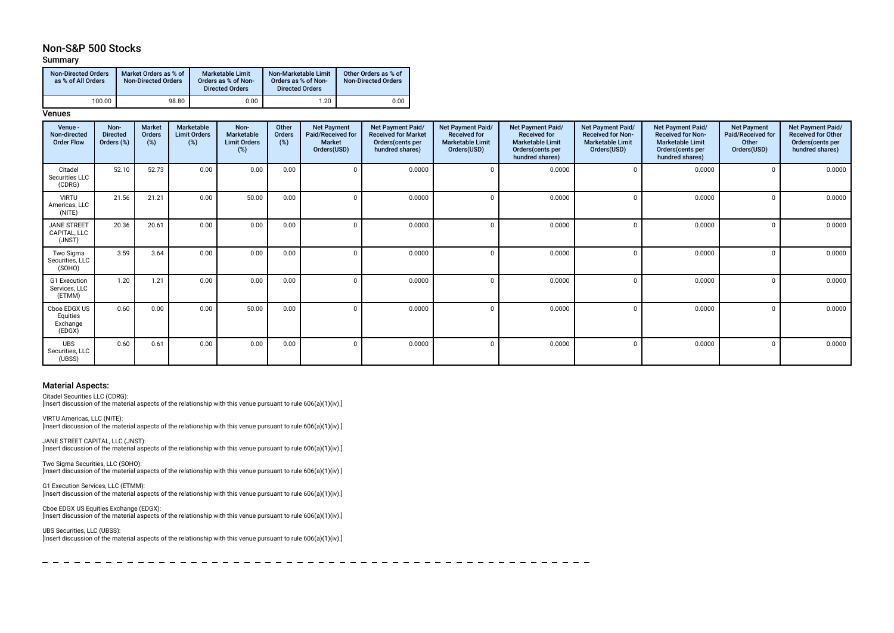# Non-S&P 500 Stocks

### Summary

| <b>Non-Directed Orders</b><br>as % of All Orders | Market Orders as % of<br><b>Non-Directed Orders</b> | <b>Marketable Limit</b><br>Orders as % of Non-<br><b>Directed Orders</b> | Non-Marketable Limit<br>Orders as % of Non-<br><b>Directed Orders</b> | Other Orders as % of<br><b>Non-Directed Orders</b> |
|--------------------------------------------------|-----------------------------------------------------|--------------------------------------------------------------------------|-----------------------------------------------------------------------|----------------------------------------------------|
| 100.00                                           | 98.80                                               | 0.00                                                                     | 1.20                                                                  | 0.00                                               |

## **Venues**

| Venue -<br>Non-directed<br><b>Order Flow</b>   | Non-<br><b>Directed</b><br>Orders (%) | <b>Market</b><br>Orders<br>(%) | Marketable<br><b>Limit Orders</b><br>$(\%)$ | Non-<br>Marketable<br><b>Limit Orders</b><br>$(\%)$ | Other<br>Orders<br>(%) | <b>Net Payment</b><br>Paid/Received for<br><b>Market</b><br>Orders(USD) | Net Payment Paid/<br><b>Received for Market</b><br>Orders(cents per<br>hundred shares) | Net Payment Paid/<br><b>Received for</b><br><b>Marketable Limit</b><br>Orders(USD) | <b>Net Payment Paid/</b><br><b>Received for</b><br><b>Marketable Limit</b><br>Orders(cents per<br>hundred shares) | Net Payment Paid/<br><b>Received for Non-</b><br><b>Marketable Limit</b><br>Orders(USD) | Net Payment Paid/<br><b>Received for Non-</b><br><b>Marketable Limit</b><br>Orders (cents per<br>hundred shares) | <b>Net Payment</b><br>Paid/Received for<br>Other<br>Orders(USD) | Net Payment Paid/<br><b>Received for Other</b><br>Orders(cents per<br>hundred shares) |
|------------------------------------------------|---------------------------------------|--------------------------------|---------------------------------------------|-----------------------------------------------------|------------------------|-------------------------------------------------------------------------|----------------------------------------------------------------------------------------|------------------------------------------------------------------------------------|-------------------------------------------------------------------------------------------------------------------|-----------------------------------------------------------------------------------------|------------------------------------------------------------------------------------------------------------------|-----------------------------------------------------------------|---------------------------------------------------------------------------------------|
| Citadel<br>Securities LLC<br>(CDRG)            | 52.10                                 | 52.73                          | 0.00                                        | 0.00                                                | 0.00                   | $\Omega$                                                                | 0.0000                                                                                 | $\Omega$                                                                           | 0.0000                                                                                                            |                                                                                         | 0.0000                                                                                                           |                                                                 | 0.0000                                                                                |
| <b>VIRTU</b><br>Americas, LLC<br>(NITE)        | 21.56                                 | 21.21                          | 0.00                                        | 50.00                                               | 0.00                   | $\Omega$                                                                | 0.0000                                                                                 | $\Omega$                                                                           | 0.0000                                                                                                            |                                                                                         | 0.0000                                                                                                           |                                                                 | 0.0000                                                                                |
| <b>JANE STREET</b><br>CAPITAL, LLC<br>(JNST)   | 20.36                                 | 20.61                          | 0.00                                        | 0.00                                                | 0.00                   | $\Omega$                                                                | 0.0000                                                                                 |                                                                                    | 0.0000                                                                                                            |                                                                                         | 0.0000                                                                                                           |                                                                 | 0.0000                                                                                |
| Two Sigma<br>Securities, LLC<br>(SOHO)         | 3.59                                  | 3.64                           | 0.00                                        | 0.00                                                | 0.00                   | $\Omega$                                                                | 0.0000                                                                                 | $\Omega$                                                                           | 0.0000                                                                                                            |                                                                                         | 0.0000                                                                                                           | $\cap$                                                          | 0.0000                                                                                |
| G1 Execution<br>Services, LLC<br>(ETMM)        | 1.20                                  | 1.21                           | 0.00                                        | 0.00                                                | 0.00                   | $\Omega$                                                                | 0.0000                                                                                 | $\Omega$                                                                           | 0.0000                                                                                                            |                                                                                         | 0.0000                                                                                                           |                                                                 | 0.0000                                                                                |
| Cboe EDGX US<br>Equities<br>Exchange<br>(EDGX) | 0.60                                  | 0.00                           | 0.00                                        | 50.00                                               | 0.00                   | $\Omega$                                                                | 0.0000                                                                                 | $\Omega$                                                                           | 0.0000                                                                                                            |                                                                                         | 0.0000                                                                                                           |                                                                 | 0.0000                                                                                |
| <b>UBS</b><br>Securities, LLC<br>(UBSS)        | 0.60                                  | 0.61                           | 0.00                                        | 0.00                                                | 0.00                   | $\Omega$                                                                | 0.0000                                                                                 | $\Omega$                                                                           | 0.0000                                                                                                            |                                                                                         | 0.0000                                                                                                           |                                                                 | 0.0000                                                                                |

 $\sim$   $-$ 

#### Material Aspects:

Citadel Securities LLC (CDRG): [Insert discussion of the material aspects of the relationship with this venue pursuant to rule 606(a)(1)(iv).]

VIRTU Americas, LLC (NITE): [Insert discussion of the material aspects of the relationship with this venue pursuant to rule 606(a)(1)(iv).]

JANE STREET CAPITAL, LLC (JNST): [Insert discussion of the material aspects of the relationship with this venue pursuant to rule 606(a)(1)(iv).]

Two Sigma Securities, LLC (SOHO): [Insert discussion of the material aspects of the relationship with this venue pursuant to rule 606(a)(1)(iv).]

G1 Execution Services, LLC (ETMM): [Insert discussion of the material aspects of the relationship with this venue pursuant to rule 606(a)(1)(iv).]

Cboe EDGX US Equities Exchange (EDGX): [Insert discussion of the material aspects of the relationship with this venue pursuant to rule 606(a)(1)(iv).]

UBS Securities, LLC (UBSS):

[Insert discussion of the material aspects of the relationship with this venue pursuant to rule 606(a)(1)(iv).]

 $-$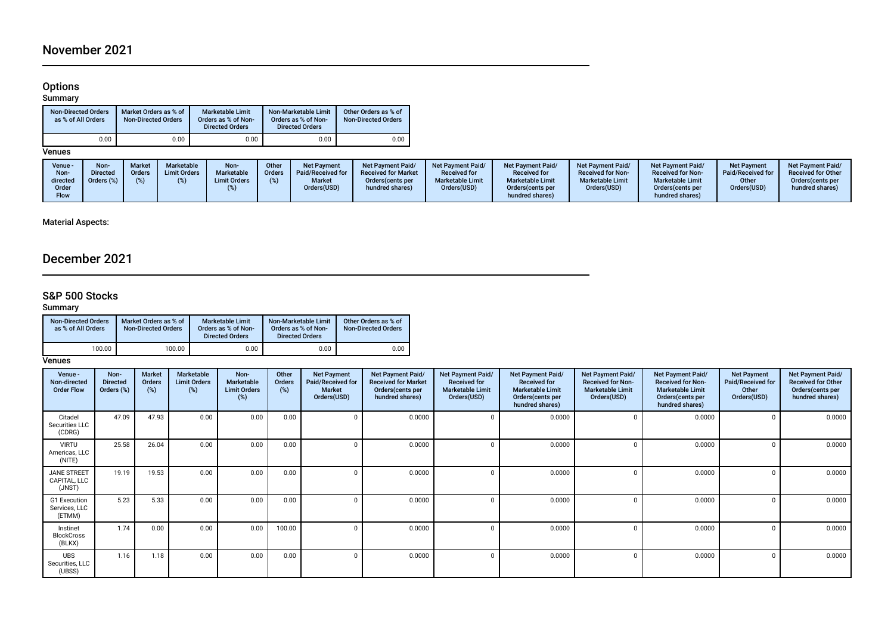# Options

#### Summary

| <b>Non-Directed Orders</b><br>as % of All Orders | Market Orders as % of<br><b>Non-Directed Orders</b> | <b>Marketable Limit</b><br>Orders as % of Non-<br><b>Directed Orders</b> | Non-Marketable Limit<br>Orders as % of Non-<br><b>Directed Orders</b> | Other Orders as % of<br><b>Non-Directed Orders</b> |
|--------------------------------------------------|-----------------------------------------------------|--------------------------------------------------------------------------|-----------------------------------------------------------------------|----------------------------------------------------|
| 0.00                                             | 0.00                                                | 0.00                                                                     | 0.00                                                                  | 0.00                                               |

## Venues

| Venue -<br>Non-<br>directed<br>Order<br><b>Flow</b> | <b>Non-</b><br>Directed<br>Orders (%) | <b>Market</b><br>Orders<br>(%) | <b>Marketable</b><br><b>Limit Orders</b> | Non-<br>Marketable<br><b>Limit Orders</b> | Other<br>Orders | <b>Net Payment</b><br>Paid/Received for<br><b>Market</b><br>Orders(USD) | <b>Net Payment Paid/</b><br><b>Received for Market</b><br>Orders (cents per<br>hundred shares) | Net Payment Paid/<br><b>Received for</b><br><b>Marketable Limit</b><br>Orders(USD) | <b>Net Payment Paid/</b><br><b>Received for</b><br><b>Marketable Limit</b><br>Orders (cents per<br>hundred shares) | Net Payment Paid/<br><b>Received for Non-</b><br><b>Marketable Limit</b><br>Orders(USD) | <b>Net Payment Paid/</b><br><b>Received for Non-</b><br><b>Marketable Limit</b><br>Orders(cents per<br>hundred shares) | <b>Net Payment</b><br>Paid/Received for<br>Other<br>Orders(USD) | <b>Net Payment Paid/</b><br><b>Received for Other</b><br>Orders (cents per<br>hundred shares) |
|-----------------------------------------------------|---------------------------------------|--------------------------------|------------------------------------------|-------------------------------------------|-----------------|-------------------------------------------------------------------------|------------------------------------------------------------------------------------------------|------------------------------------------------------------------------------------|--------------------------------------------------------------------------------------------------------------------|-----------------------------------------------------------------------------------------|------------------------------------------------------------------------------------------------------------------------|-----------------------------------------------------------------|-----------------------------------------------------------------------------------------------|
|-----------------------------------------------------|---------------------------------------|--------------------------------|------------------------------------------|-------------------------------------------|-----------------|-------------------------------------------------------------------------|------------------------------------------------------------------------------------------------|------------------------------------------------------------------------------------|--------------------------------------------------------------------------------------------------------------------|-----------------------------------------------------------------------------------------|------------------------------------------------------------------------------------------------------------------------|-----------------------------------------------------------------|-----------------------------------------------------------------------------------------------|

## Material Aspects:

# December 2021

### S&P 500 Stocks

#### Summary

| <b>Non-Directed Orders</b><br>as % of All Orders | Market Orders as % of<br><b>Non-Directed Orders</b> | <b>Marketable Limit</b><br>Orders as % of Non-<br><b>Directed Orders</b> | Non-Marketable Limit<br>Orders as % of Non-<br><b>Directed Orders</b> | Other Orders as % of<br><b>Non-Directed Orders</b> |  |  |
|--------------------------------------------------|-----------------------------------------------------|--------------------------------------------------------------------------|-----------------------------------------------------------------------|----------------------------------------------------|--|--|
| 100.00                                           | 100.00                                              | 0.00                                                                     | 0.00                                                                  | 0.00                                               |  |  |

### **Venues**

| Venue -<br>Non-directed<br><b>Order Flow</b> | Non-<br><b>Directed</b><br>Orders (%) | <b>Market</b><br><b>Orders</b><br>$(\%)$ | Marketable<br><b>Limit Orders</b><br>(%) | Non-<br>Marketable<br><b>Limit Orders</b><br>(%) | Other<br>Orders<br>(%) | <b>Net Payment</b><br>Paid/Received for<br><b>Market</b><br>Orders(USD) | Net Payment Paid/<br><b>Received for Market</b><br>Orders(cents per<br>hundred shares) | Net Payment Paid/<br><b>Received for</b><br><b>Marketable Limit</b><br>Orders(USD) | Net Payment Paid/<br><b>Received for</b><br><b>Marketable Limit</b><br>Orders (cents per<br>hundred shares) | Net Payment Paid/<br><b>Received for Non-</b><br><b>Marketable Limit</b><br>Orders(USD) | Net Payment Paid/<br><b>Received for Non-</b><br><b>Marketable Limit</b><br>Orders (cents per<br>hundred shares) | <b>Net Payment</b><br>Paid/Received for<br>Other<br>Orders(USD) | Net Payment Paid/<br><b>Received for Other</b><br>Orders(cents per<br>hundred shares) |
|----------------------------------------------|---------------------------------------|------------------------------------------|------------------------------------------|--------------------------------------------------|------------------------|-------------------------------------------------------------------------|----------------------------------------------------------------------------------------|------------------------------------------------------------------------------------|-------------------------------------------------------------------------------------------------------------|-----------------------------------------------------------------------------------------|------------------------------------------------------------------------------------------------------------------|-----------------------------------------------------------------|---------------------------------------------------------------------------------------|
| Citadel<br>Securities LLC<br>(CDRG)          | 47.09                                 | 47.93                                    | 0.00                                     | 0.00                                             | 0.00                   |                                                                         | 0.0000                                                                                 |                                                                                    | 0.0000                                                                                                      |                                                                                         | 0.0000                                                                                                           | 0                                                               | 0.0000                                                                                |
| <b>VIRTU</b><br>Americas, LLC<br>(NITE)      | 25.58                                 | 26.04                                    | 0.00                                     | 0.00                                             | 0.00                   |                                                                         | 0.0000                                                                                 |                                                                                    | 0.0000                                                                                                      | n                                                                                       | 0.0000                                                                                                           | 0                                                               | 0.0000                                                                                |
| <b>JANE STREET</b><br>CAPITAL, LLC<br>(JNST) | 19.19                                 | 19.53                                    | 0.00                                     | 0.00                                             | 0.00                   |                                                                         | 0.0000                                                                                 |                                                                                    | 0.0000                                                                                                      | n                                                                                       | 0.0000                                                                                                           | 0                                                               | 0.0000                                                                                |
| G1 Execution<br>Services, LLC<br>(ETMM)      | 5.23                                  | 5.33                                     | 0.00                                     | 0.00                                             | 0.00                   |                                                                         | 0.0000                                                                                 |                                                                                    | 0.0000                                                                                                      |                                                                                         | 0.0000                                                                                                           | $\Omega$                                                        | 0.0000                                                                                |
| Instinet<br><b>BlockCross</b><br>(BLKX)      | 1.74                                  | 0.00                                     | 0.00                                     | 0.00                                             | 100.00                 |                                                                         | 0.0000                                                                                 |                                                                                    | 0.0000                                                                                                      |                                                                                         | 0.0000                                                                                                           | $\Omega$                                                        | 0.0000                                                                                |
| <b>UBS</b><br>Securities, LLC<br>(UBSS)      | 1.16                                  | 1.18                                     | 0.00                                     | 0.00                                             | 0.00                   |                                                                         | 0.0000                                                                                 |                                                                                    | 0.0000                                                                                                      | $\Omega$                                                                                | 0.0000                                                                                                           | $\Omega$                                                        | 0.0000                                                                                |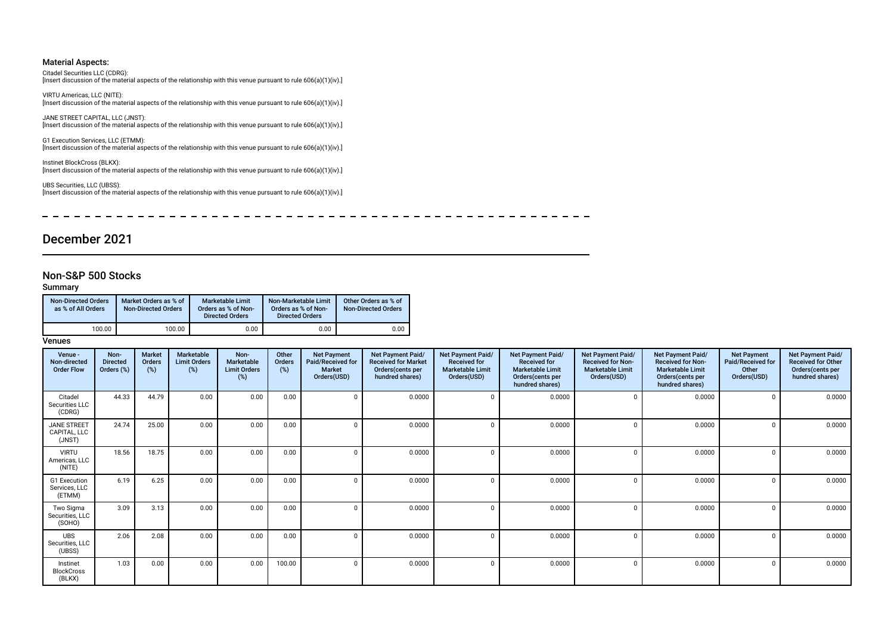#### Material Aspects:

Citadel Securities LLC (CDRG): [Insert discussion of the material aspects of the relationship with this venue pursuant to rule 606(a)(1)(iv).]

VIRTU Americas, LLC (NITE): [Insert discussion of the material aspects of the relationship with this venue pursuant to rule 606(a)(1)(iv).]

JANE STREET CAPITAL, LLC (JNST): [Insert discussion of the material aspects of the relationship with this venue pursuant to rule 606(a)(1)(iv).]

G1 Execution Services, LLC (ETMM): [Insert discussion of the material aspects of the relationship with this venue pursuant to rule 606(a)(1)(iv).]

Instinet BlockCross (BLKX): [Insert discussion of the material aspects of the relationship with this venue pursuant to rule 606(a)(1)(iv).]

UBS Securities, LLC (UBSS): [Insert discussion of the material aspects of the relationship with this venue pursuant to rule 606(a)(1)(iv).]

--------- $- - - - \overline{\phantom{0}}$  $- - - \sim$  $\sim$   $\overline{\phantom{a}}$  $\sim$  $\overline{\phantom{0}}$  $\frac{1}{2}$ 

# December 2021

# Non-S&P 500 Stocks

Summary

| <b>Non-Directed Orders</b><br>as % of All Orders | Market Orders as % of<br>Non-Directed Orders | <b>Marketable Limit</b><br>Orders as % of Non-<br><b>Directed Orders</b> | Non-Marketable Limit<br>Orders as % of Non-<br><b>Directed Orders</b> | Other Orders as % of<br><b>Non-Directed Orders</b> |  |  |
|--------------------------------------------------|----------------------------------------------|--------------------------------------------------------------------------|-----------------------------------------------------------------------|----------------------------------------------------|--|--|
| 100.00                                           | 100.00                                       | 0.00                                                                     | 0.00                                                                  | 0.00                                               |  |  |

**Venues** 

| Venue -<br>Non-directed<br><b>Order Flow</b> | Non-<br><b>Directed</b><br>Orders (%) | Market<br>Orders<br>$(\%)$ | Marketable<br><b>Limit Orders</b><br>(%) | Non-<br><b>Marketable</b><br><b>Limit Orders</b><br>(%) | Other<br><b>Orders</b><br>(%) | <b>Net Payment</b><br>Paid/Received for<br><b>Market</b><br>Orders(USD) | <b>Net Payment Paid/</b><br><b>Received for Market</b><br>Orders(cents per<br>hundred shares) | Net Payment Paid/<br><b>Received for</b><br><b>Marketable Limit</b><br>Orders(USD) | Net Payment Paid/<br><b>Received for</b><br><b>Marketable Limit</b><br>Orders(cents per<br>hundred shares) | Net Payment Paid/<br><b>Received for Non-</b><br><b>Marketable Limit</b><br>Orders(USD) | Net Payment Paid/<br><b>Received for Non-</b><br><b>Marketable Limit</b><br>Orders(cents per<br>hundred shares) | <b>Net Payment</b><br>Paid/Received for<br>Other<br>Orders(USD) | Net Payment Paid/<br><b>Received for Other</b><br>Orders(cents per<br>hundred shares) |
|----------------------------------------------|---------------------------------------|----------------------------|------------------------------------------|---------------------------------------------------------|-------------------------------|-------------------------------------------------------------------------|-----------------------------------------------------------------------------------------------|------------------------------------------------------------------------------------|------------------------------------------------------------------------------------------------------------|-----------------------------------------------------------------------------------------|-----------------------------------------------------------------------------------------------------------------|-----------------------------------------------------------------|---------------------------------------------------------------------------------------|
| Citadel<br>Securities LLC<br>(CDRG)          | 44.33                                 | 44.79                      | 0.00                                     | 0.00                                                    | 0.00                          | 0                                                                       | 0.0000                                                                                        | $\Omega$                                                                           | 0.0000                                                                                                     | $\Omega$                                                                                | 0.0000                                                                                                          | 0                                                               | 0.0000                                                                                |
| <b>JANE STREET</b><br>CAPITAL, LLC<br>(JNST) | 24.74                                 | 25.00                      | 0.00                                     | 0.00                                                    | 0.00                          | $\Omega$                                                                | 0.0000                                                                                        | $\mathbf 0$                                                                        | 0.0000                                                                                                     |                                                                                         | 0.0000                                                                                                          | $\Omega$                                                        | 0.0000                                                                                |
| <b>VIRTU</b><br>Americas, LLC<br>(NITE)      | 18.56                                 | 18.75                      | 0.00                                     | 0.00                                                    | 0.00                          | $\Omega$                                                                | 0.0000                                                                                        | $\Omega$                                                                           | 0.0000                                                                                                     |                                                                                         | 0.0000                                                                                                          | $\Omega$                                                        | 0.0000                                                                                |
| G1 Execution<br>Services. LLC<br>(ETMM)      | 6.19                                  | 6.25                       | 0.00                                     | 0.00                                                    | 0.00                          | 0                                                                       | 0.0000                                                                                        | $\mathbf 0$                                                                        | 0.0000                                                                                                     | $\sqrt{ }$                                                                              | 0.0000                                                                                                          | $\Omega$                                                        | 0.0000                                                                                |
| Two Sigma<br>Securities, LLC<br>(SOHO)       | 3.09                                  | 3.13                       | 0.00                                     | 0.00                                                    | 0.00                          | $\Omega$                                                                | 0.0000                                                                                        | $\Omega$                                                                           | 0.0000                                                                                                     | $\sqrt{ }$                                                                              | 0.0000                                                                                                          | $\Omega$                                                        | 0.0000                                                                                |
| <b>UBS</b><br>Securities, LLC<br>(UBSS)      | 2.06                                  | 2.08                       | 0.00                                     | 0.00                                                    | 0.00                          | $\Omega$                                                                | 0.0000                                                                                        | $\Omega$                                                                           | 0.0000                                                                                                     |                                                                                         | 0.0000                                                                                                          | $\Omega$                                                        | 0.0000                                                                                |
| Instinet<br><b>BlockCross</b><br>(BLKX)      | 1.03                                  | 0.00                       | 0.00                                     | 0.00                                                    | 100.00                        | $\Omega$                                                                | 0.0000                                                                                        | $\Omega$                                                                           | 0.0000                                                                                                     | $\sqrt{ }$                                                                              | 0.0000                                                                                                          | $\Omega$                                                        | 0.0000                                                                                |